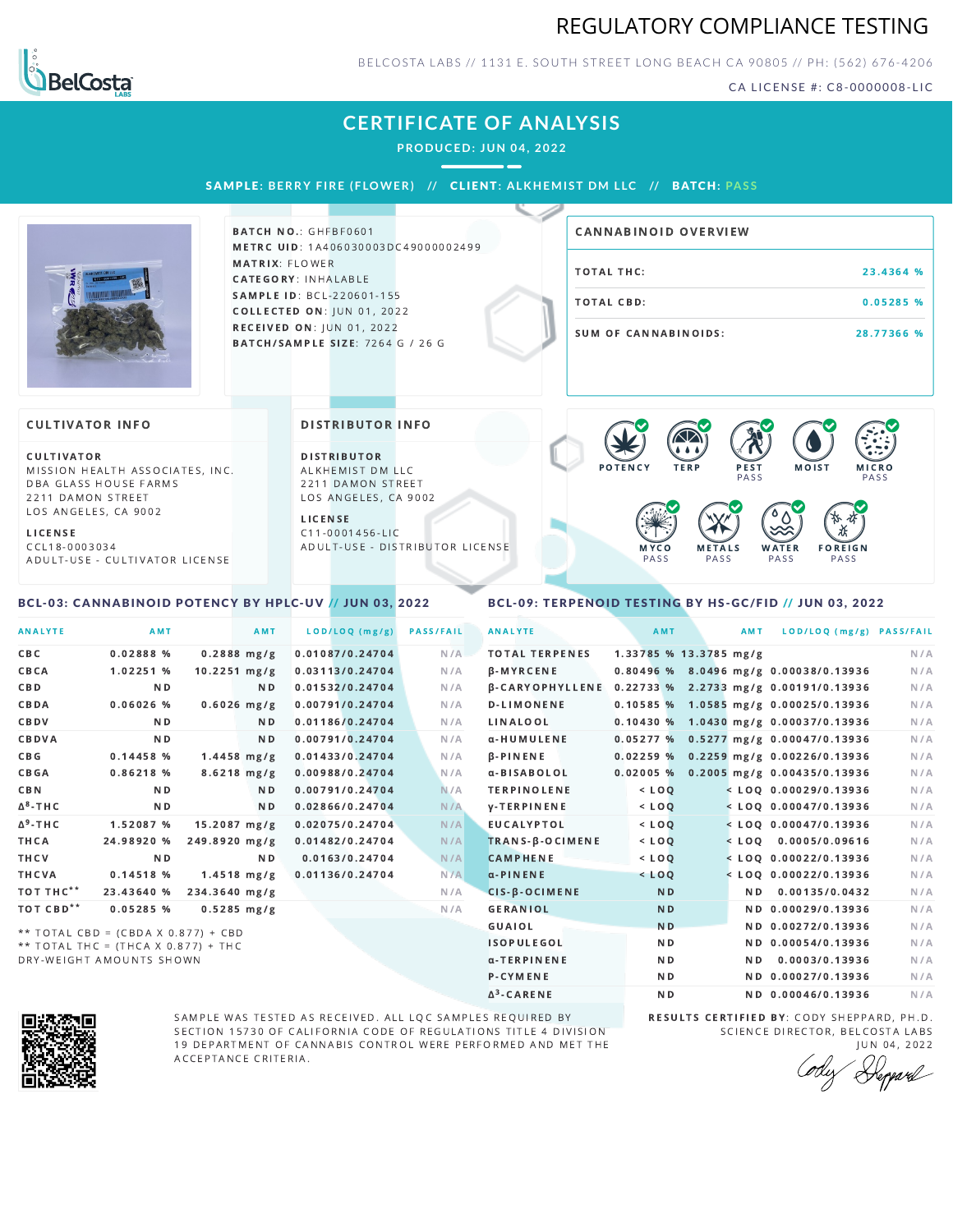# REGULATORY COMPLIANCE TESTING



BELCOSTA LABS // 1131 E. SOUTH STREET LONG BEACH C A 90805 // PH: (562) 676-4206

CA LICENSE #: C8-0000008-LIC

### **CERTIFICATE OF ANALYSIS**

**PRODUCED: JUN 04, 2022**

SAMPL E **: BERRY F IRE ( F LOWER) //** CL I ENT**: A LKHEMI ST DM L LC //** BATCH**: PA S S**



**BATCH NO.: GHFBF0601** METRC UID: 1A406030003DC49000002499 MATRIX: FLOWER CATEGORY: INHALABLE SAMPLE ID: BCL-220601-155 **COLLECTED ON: JUN 01, 2022** RECEIVED ON: JUN 01, 2022 BATCH/SAMPLE SIZE: 7264 G / 26 G

# TOTAL THC: 23.4364 % TOTAL CBD: 0.05285 % SUM OF CANNABINOIDS: 28.77366 % CANNABINOID OVERVIEW

#### **CULTIVATOR INFO**

CULTIVATOR MISSION HEALTH ASSOCIATES, INC. DBA GLASS HOUSE FARMS 2211 DAMON STREET LOS ANGELES, CA 9002

<span id="page-0-0"></span>BCL-03: CANNABINOID POTENCY BY HPLC-UV // JUN 03, 2022

L I C E N S E C C L 1 8 - 0 0 0 3 0 3 4 A D U L T - U S E - C U L T I V A T O R L I CENSE DISTRIBUTOR INFO

D I STRIBUTOR ALKHEMIST DM LLC 2211 DAMON STREET LOS ANGELES, CA 9002

L I C E N S E C 1 1 - 0 0 0 1 4 5 6 - L I C A D U L T - U S E - D I STRIBUTOR LICENSE



<span id="page-0-1"></span>BCL-09: TERPENOID TESTING BY HS-GC/FID // JUN 03, 2022

| <b>ANALYTE</b>        | AMT                                   | AMT                    | LOD/LOQ (mg/g)  | <b>PASS/FAIL</b> | <b>ANALYTE</b>             | AMT            | AMT                    | LOD/LOQ (mg/g) PASS/FAIL                |     |
|-----------------------|---------------------------------------|------------------------|-----------------|------------------|----------------------------|----------------|------------------------|-----------------------------------------|-----|
| <b>CBC</b>            | 0.02888%                              | $0.2888$ mg/g          | 0.01087/0.24704 | N/A              | <b>TOTAL TERPENES</b>      |                | 1.33785 % 13.3785 mg/g |                                         | N/A |
| CBCA                  | 1.02251 %                             | $10.2251 \text{ mg/g}$ | 0.03113/0.24704 | N/A              | <b>B-MYRCENE</b>           |                |                        | 0.80496 % 8.0496 mg/g 0.00038/0.13936   | N/A |
| CBD                   | N <sub>D</sub>                        | ND.                    | 0.01532/0.24704 | N/A              | <b>B-CARYOPHYLLENE</b>     |                |                        | $0.22733$ % 2.2733 mg/g 0.00191/0.13936 | N/A |
| CBDA                  | $0.06026$ %                           | $0.6026$ mg/g          | 0.00791/0.24704 | N/A              | <b>D-LIMONENE</b>          |                |                        | 0.10585 % 1.0585 mg/g 0.00025/0.13936   | N/A |
| CBDV                  | N <sub>D</sub>                        | N D                    | 0.01186/0.24704 | N/A              | LINALOOL                   | 0.10430%       |                        | 1.0430 mg/g 0.00037/0.13936             | N/A |
| CBDVA                 | N <sub>D</sub>                        | ND.                    | 0.00791/0.24704 | N/A              | α-HUMULENE                 |                |                        | $0.05277$ % 0.5277 mg/g 0.00047/0.13936 | N/A |
| C B G                 | 0.14458%                              | $1.4458$ mg/g          | 0.01433/0.24704 | N/A              | $\beta$ -PINENE            | 0.02259%       |                        | $0.2259$ mg/g $0.00226/0.13936$         | N/A |
| <b>CBGA</b>           | 0.86218%                              | $8.6218$ mg/g          | 0.00988/0.24704 | N/A              | a-BISABOLOL                |                |                        | 0.02005 % 0.2005 mg/g 0.00435/0.13936   | N/A |
| <b>CBN</b>            | N <sub>D</sub>                        | N <sub>D</sub>         | 0.00791/0.24704 | N/A              | <b>TERPINOLENE</b>         | $<$ LOQ        |                        | $<$ LOQ 0.00029/0.13936                 | N/A |
| $\Delta^8$ -THC       | ND.                                   | N <sub>D</sub>         | 0.02866/0.24704 | N/A              | <b>y-TERPINENE</b>         | $<$ LOQ        |                        | $<$ LOQ 0.00047/0.13936                 | N/A |
| $\Delta^9$ -THC       | 1.52087 %                             | $15.2087$ mg/g         | 0.02075/0.24704 | N/A              | <b>EUCALYPTOL</b>          | $<$ LOQ        |                        | $<$ LOO 0.00047/0.13936                 | N/A |
| THCA                  | 24.98920 %                            | 249.8920 mg/g          | 0.01482/0.24704 | N/A              | TRANS-B-OCIMENE            | $<$ LOO        |                        | $<$ LOQ 0.0005/0.09616                  | N/A |
| THCV                  | N <sub>D</sub>                        | ND.                    | 0.0163/0.24704  | N/A              | <b>CAMPHENE</b>            | $<$ LOQ        |                        | $<$ LOQ 0.00022/0.13936                 | N/A |
| THCVA                 | 0.14518%                              | $1.4518$ mg/g          | 0.01136/0.24704 | N/A              | $\alpha$ -PINENE           | $<$ LOQ        |                        | $<$ LOQ 0.00022/0.13936                 | N/A |
| TOT THC**             | 23.43640 %                            | 234.3640 mg/g          |                 | N/A              | $CIS - \beta - OCIMENTENE$ | <b>ND</b>      | ND.                    | 0.00135/0.0432                          | N/A |
| TOT CBD <sup>**</sup> | 0.05285%                              | $0.5285$ mg/g          |                 | N/A              | <b>GERANIOL</b>            | <b>ND</b>      |                        | ND 0.00029/0.13936                      | N/A |
|                       | ** TOTAL CBD = (CBDA X 0.877) + CBD   |                        |                 |                  | GUAIOL                     | <b>ND</b>      |                        | ND 0.00272/0.13936                      | N/A |
|                       | ** TOTAL THC = $(THCA X 0.877) + THC$ |                        |                 |                  | <b>ISOPULEGOL</b>          | N <sub>D</sub> |                        | ND 0.00054/0.13936                      | N/A |
|                       | DRY-WEIGHT AMOUNTS SHOWN              |                        |                 |                  | α-TERPINENE                | N <sub>D</sub> | N D                    | 0.0003/0.13936                          | N/A |

Δ 3



SAMPLE WAS TESTED AS RECEIVED. ALL LQC SAMPLES REQUIRED BY SECTION 15730 OF CALIFORNIA CODE OF REGULATIONS TITLE 4 DIVISION 19 DEPARTMENT OF CANNABIS CONTROL WERE PERFORMED AND MET THE A C C E P T A N C E C R I T E R I A.

RESULTS CERTIFIED BY: CODY SHEPPARD, PH.D. SCIENCE DIRECTOR, BELCOSTA LABS

ND ND 0.00046/0.13936 N/A

**P-CYMENE ND ND ND ND 0.00027/0.13936** N/A

J U N 0 4 , 2 0 2 2 Depard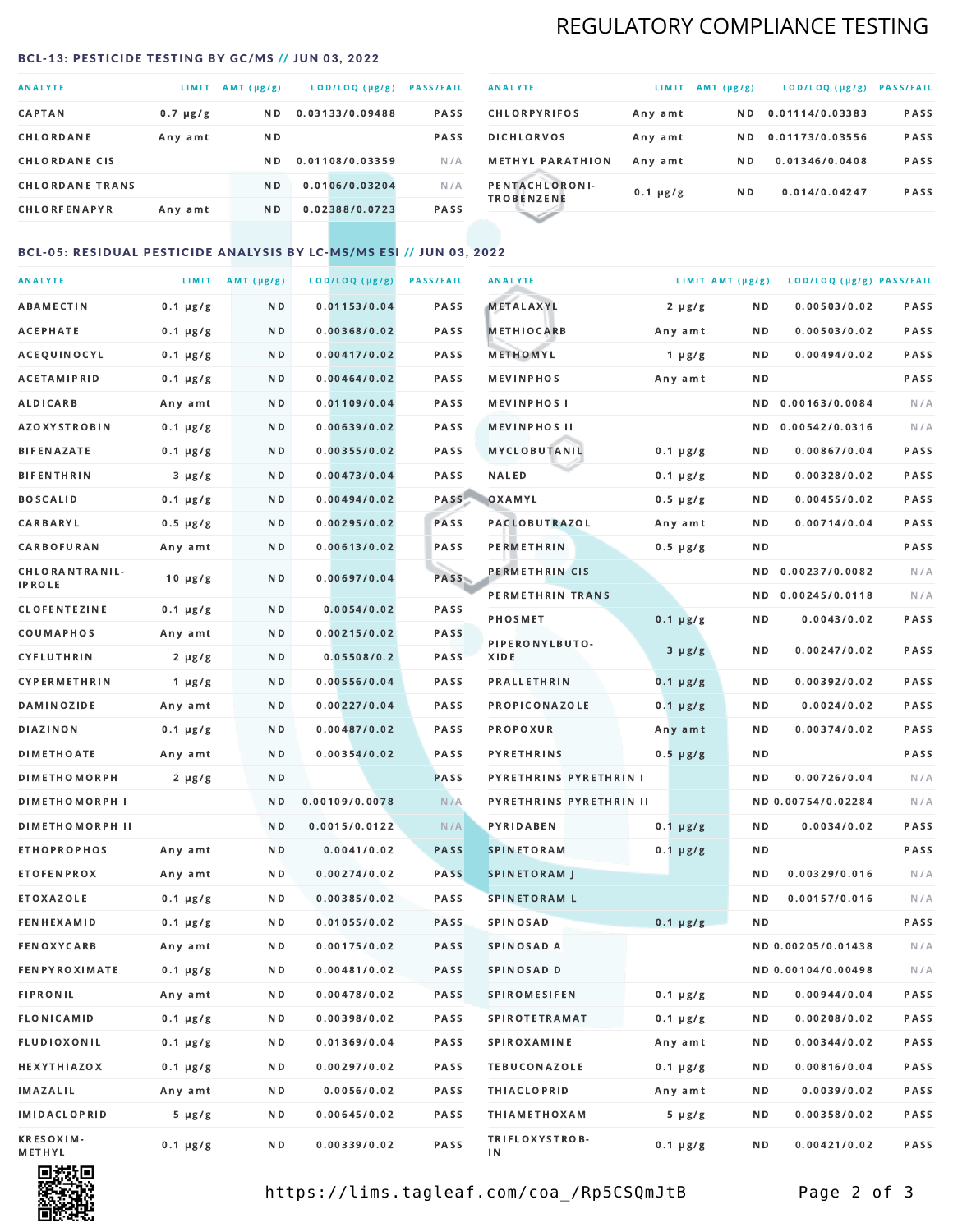# REGULATORY COMPLIANCE TESTING

#### <span id="page-1-0"></span>BCL-13: PESTICIDE TESTING BY GC/MS // JUN 03, 2022

| <b>ANALYTE</b>         | LIMIT         | AMT $(\mu g/g)$ | LOD/LOQ (µg/g)  | <b>PASS/FAIL</b> |
|------------------------|---------------|-----------------|-----------------|------------------|
| <b>CAPTAN</b>          | $0.7 \mu g/g$ | N D             | 0.03133/0.09488 | <b>PASS</b>      |
| CHLORDANE              | Any amt       | N D             |                 | <b>PASS</b>      |
| <b>CHLORDANE CIS</b>   |               | N D             | 0.01108/0.03359 | N/A              |
| <b>CHLORDANE TRANS</b> |               | N <sub>D</sub>  | 0.0106/0.03204  | N/A              |
| <b>CHLORFENAPYR</b>    | Any amt       | N D             | 0.02388/0.0723  | <b>PASS</b>      |

| <b>ANALYTE</b>                      | LIMIT         | $AMT(\mu g/g)$ | LOD/LOQ (µg/g)  | <b>PASS/FAIL</b> |
|-------------------------------------|---------------|----------------|-----------------|------------------|
| <b>CHLORPYRIFOS</b>                 | Any amt       | ND.            | 0.01114/0.03383 | <b>PASS</b>      |
| <b>DICHLORVOS</b>                   | Any amt       | N D            | 0.01173/0.03556 | PASS             |
| <b>METHYL PARATHION</b>             | Any amt       | ND.            | 0.01346/0.0408  | <b>PASS</b>      |
| PENTACHLORONI-<br><b>TROBENZENE</b> | $0.1 \mu g/g$ | N <sub>D</sub> | 0.014/0.04247   | <b>PASS</b>      |
|                                     |               |                |                 |                  |

### BCL-05: RESIDUAL PESTICIDE ANALYSIS BY LC-MS/MS ESI // JUN 03, 2022

| <b>ANALYTE</b>             |               | LIMIT $AMT (\mu g/g)$ | LOD/LOQ (µg/g) | <b>PASS/FAIL</b> | <b>ANALYTE</b>          | LIMIT AMT $(\mu g/g)$ |     | LOD/LOQ (µg/g) PASS/FAIL |      |
|----------------------------|---------------|-----------------------|----------------|------------------|-------------------------|-----------------------|-----|--------------------------|------|
| ABAMECTIN                  | $0.1 \mu g/g$ | N D                   | 0.01153/0.04   | PASS             | <b>METALAXYL</b>        | $2 \mu g/g$           | N D | 0.00503/0.02             | PASS |
| АСЕРНАТЕ                   | $0.1 \mu g/g$ | N D                   | 0.00368/0.02   | <b>PASS</b>      | <b>METHIOCARB</b>       | Any amt               | N D | 0.00503/0.02             | PASS |
| ACEQUINOCYL                | $0.1 \mu g/g$ | N D                   | 0.00417/0.02   | PASS             | METHOMYL                | 1 $\mu$ g/g           | N D | 0.00494/0.02             | PASS |
| <b>ACETAMIPRID</b>         | $0.1 \mu g/g$ | N D                   | 0.00464/0.02   | PASS             | <b>MEVINPHOS</b>        | Any amt               | ND. |                          | PASS |
| ALDICARB                   | Any amt       | N D                   | 0.01109/0.04   | <b>PASS</b>      | <b>MEVINPHOS I</b>      |                       | ND. | 0.00163/0.0084           | N/A  |
| <b>AZOXYSTROBIN</b>        | $0.1 \mu g/g$ | N D                   | 0.00639/0.02   | <b>PASS</b>      | <b>MEVINPHOS II</b>     |                       | N D | 0.00542/0.0316           | N/A  |
| BIFENAZATE                 | $0.1 \mu g/g$ | N D                   | 0.00355/0.02   | PASS             | MYCLOBUTANIL            | $0.1 \mu g/g$         | N D | 0.00867/0.04             | PASS |
| <b>BIFENTHRIN</b>          | $3 \mu g/g$   | N D                   | 0.00473/0.04   | PASS             | <b>NALED</b>            | $0.1 \mu g/g$         | N D | 0.00328/0.02             | PASS |
| <b>BOSCALID</b>            | $0.1 \mu g/g$ | N D                   | 0.00494/0.02   | PASS             | OXAMYL                  | $0.5 \mu g/g$         | ND  | 0.00455/0.02             | PASS |
| <b>CARBARYL</b>            | $0.5 \mu g/g$ | N D                   | 0.00295/0.02   | PASS             | <b>PACLOBUTRAZOL</b>    | Any amt               | N D | 0.00714/0.04             | PASS |
| CARBOFURAN                 | Any amt       | N D                   | 0.00613/0.02   | PASS             | PERMETHRIN              | $0.5 \mu g/g$         | N D |                          | PASS |
| CHLORANTRANIL-             | $10 \mu g/g$  | N D                   | 0.00697/0.04   | PASS             | PERMETHRIN CIS          |                       | ND. | 0.00237/0.0082           | N/A  |
| <b>IPROLE</b>              |               |                       |                |                  | PERMETHRIN TRANS        |                       |     | ND 0.00245/0.0118        | N/A  |
| <b>CLOFENTEZINE</b>        | $0.1 \mu g/g$ | N D                   | 0.0054/0.02    | PASS             | <b>PHOSMET</b>          | $0.1 \mu g/g$         | N D | 0.0043/0.02              | PASS |
| COUMAPHOS                  | Any amt       | N D                   | 0.00215/0.02   | PASS             | PIPERONYLBUTO-          | $3 \mu g/g$           | N D | 0.00247/0.02             | PASS |
| CYFLUTHRIN                 | $2 \mu g/g$   | N D                   | 0.05508/0.2    | <b>PASS</b>      | XIDE                    |                       |     |                          |      |
| <b>CYPERMETHRIN</b>        | $1 \mu g/g$   | N D                   | 0.00556/0.04   | PASS             | <b>PRALLETHRIN</b>      | $0.1 \mu g/g$         | N D | 0.00392/0.02             | PASS |
| <b>DAMINOZIDE</b>          | Any amt       | N D                   | 0.00227/0.04   | PASS             | PROPICONAZOLE           | $0.1 \mu g/g$         | N D | 0.0024/0.02              | PASS |
| <b>DIAZINON</b>            | $0.1 \mu g/g$ | N D                   | 0.00487/0.02   | <b>PASS</b>      | <b>PROPOXUR</b>         | Any amt               | N D | 0.00374/0.02             | PASS |
| <b>DIMETHOATE</b>          | Any amt       | N D                   | 0.00354/0.02   | <b>PASS</b>      | <b>PYRETHRINS</b>       | $0.5 \mu g/g$         | N D |                          | PASS |
| <b>DIMETHOMORPH</b>        | $2 \mu g/g$   | N D                   |                | <b>PASS</b>      | PYRETHRINS PYRETHRIN I  |                       | N D | 0.00726/0.04             | N/A  |
| <b>DIMETHOMORPH I</b>      |               | N D                   | 0.00109/0.0078 | N/A              | PYRETHRINS PYRETHRIN II |                       |     | ND 0.00754/0.02284       | N/A  |
| <b>DIMETHOMORPH II</b>     |               | ND.                   | 0.0015/0.0122  | N/A              | PYRIDABEN               | $0.1 \mu g/g$         | N D | 0.0034/0.02              | PASS |
| <b>ETHOPROPHOS</b>         | Any amt       | N D                   | 0.0041/0.02    | <b>PASS</b>      | <b>SPINETORAM</b>       | $0.1 \mu g/g$         | N D |                          | PASS |
| <b>ETOFENPROX</b>          | Any amt       | N D                   | 0.00274/0.02   | <b>PASS</b>      | <b>SPINETORAM J</b>     |                       | N D | 0.00329/0.016            | N/A  |
| ETOXAZOLE                  | $0.1 \mu g/g$ | N D                   | 0.00385/0.02   | PASS             | <b>SPINETORAM L</b>     |                       | ND. | 0.00157/0.016            | N/A  |
| <b>FENHEXAMID</b>          | $0.1 \mu g/g$ | N D                   | 0.01055/0.02   | <b>PASS</b>      | <b>SPINOSAD</b>         | $0.1 \mu g/g$         | N D |                          | PASS |
| FENOXYCARB                 | Any amt       | N D                   | 0.00175/0.02   | <b>PASS</b>      | SPINOSAD A              |                       |     | ND 0.00205/0.01438       | N/A  |
| <b>FENPYROXIMATE</b>       | $0.1 \mu g/g$ | N D                   | 0.00481/0.02   | PASS             | SPINOSAD D              |                       |     | ND 0.00104/0.00498       | N/A  |
| <b>FIPRONIL</b>            | Any amt       | N D                   | 0.00478/0.02   | PASS             | <b>SPIROMESIFEN</b>     | $0.1 \mu g/g$         | ND. | 0.00944/0.04             | PASS |
| FLONICAMID                 | $0.1 \mu g/g$ | N D                   | 0.00398/0.02   | PASS             | <b>SPIROTETRAMAT</b>    | $0.1 \mu g/g$         | N D | 0.00208/0.02             | PASS |
| FLUDIOXONIL                | $0.1 \mu g/g$ | N D                   | 0.01369/0.04   | PASS             | <b>SPIROXAMINE</b>      | Any amt               | N D | 0.00344/0.02             | PASS |
| <b>HEXYTHIAZOX</b>         | $0.1 \mu g/g$ | N D                   | 0.00297/0.02   | PASS             | <b>TEBUCONAZOLE</b>     | $0.1 \mu g/g$         | N D | 0.00816/0.04             | PASS |
| <b>IMAZALIL</b>            | Any amt       | N D                   | 0.0056/0.02    | PASS             | <b>THIACLOPRID</b>      | Any amt               | N D | 0.0039/0.02              | PASS |
| <b>IMIDACLOPRID</b>        | $5 \mu g/g$   | N D                   | 0.00645/0.02   | PASS             | <b>THIAMETHOXAM</b>     | $5 \mu g/g$           | N D | 0.00358/0.02             | PASS |
| <b>KRESOXIM-</b><br>METHYL | $0.1 \mu g/g$ | N D                   | 0.00339/0.02   | PASS             | TRIFLOXYSTROB-<br>ΙN    | $0.1 \mu g/g$         | N D | 0.00421/0.02             | PASS |